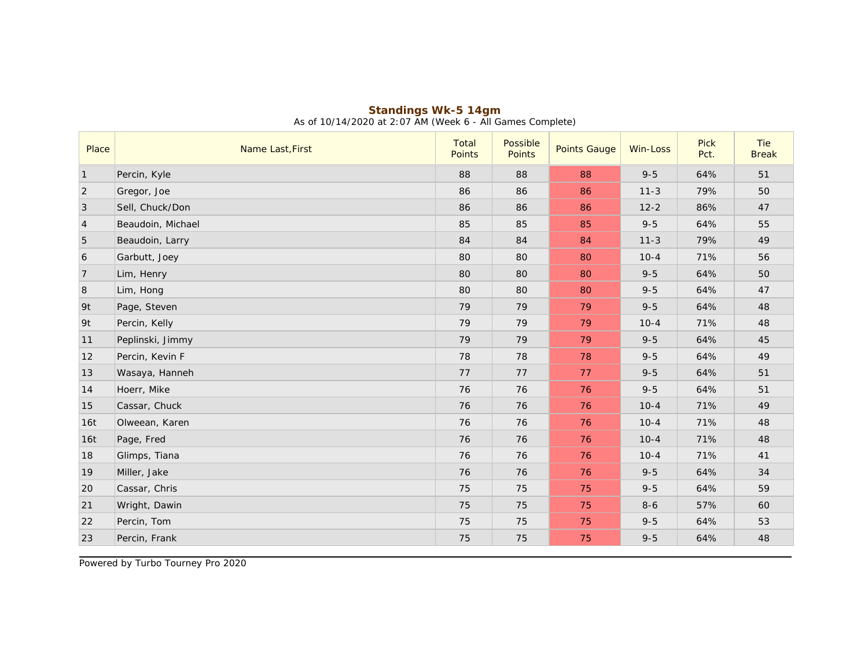| Place          | Name Last, First  | Total<br><b>Points</b> | Possible<br>Points | <b>Points Gauge</b> | Win-Loss | Pick<br>Pct. | Tie<br><b>Break</b> |
|----------------|-------------------|------------------------|--------------------|---------------------|----------|--------------|---------------------|
| $\vert$ 1      | Percin, Kyle      | 88                     | 88                 | 88                  | $9 - 5$  | 64%          | 51                  |
| 2              | Gregor, Joe       | 86                     | 86                 | 86                  | $11 - 3$ | 79%          | 50                  |
| $\overline{3}$ | Sell, Chuck/Don   | 86                     | 86                 | 86                  | $12 - 2$ | 86%          | 47                  |
| $\vert 4$      | Beaudoin, Michael | 85                     | 85                 | 85                  | $9 - 5$  | 64%          | 55                  |
| 5              | Beaudoin, Larry   | 84                     | 84                 | 84                  | $11 - 3$ | 79%          | 49                  |
| 6              | Garbutt, Joey     | 80                     | 80                 | 80                  | $10 - 4$ | 71%          | 56                  |
| 7              | Lim, Henry        | 80                     | 80                 | 80                  | $9 - 5$  | 64%          | 50                  |
| 8              | Lim, Hong         | 80                     | 80                 | 80                  | $9 - 5$  | 64%          | 47                  |
| 9t             | Page, Steven      | 79                     | 79                 | 79                  | $9 - 5$  | 64%          | 48                  |
| 9t             | Percin, Kelly     | 79                     | 79                 | 79                  | $10 - 4$ | 71%          | 48                  |
| 11             | Peplinski, Jimmy  | 79                     | 79                 | 79                  | $9 - 5$  | 64%          | 45                  |
| 12             | Percin, Kevin F   | 78                     | 78                 | 78                  | $9 - 5$  | 64%          | 49                  |
| 13             | Wasaya, Hanneh    | 77                     | 77                 | 77                  | $9 - 5$  | 64%          | 51                  |
| 14             | Hoerr, Mike       | 76                     | 76                 | 76                  | $9 - 5$  | 64%          | 51                  |
| 15             | Cassar, Chuck     | 76                     | 76                 | 76                  | $10 - 4$ | 71%          | 49                  |
| 16t            | Olweean, Karen    | 76                     | 76                 | 76                  | $10 - 4$ | 71%          | 48                  |
| 16t            | Page, Fred        | 76                     | 76                 | 76                  | $10 - 4$ | 71%          | 48                  |
| 18             | Glimps, Tiana     | 76                     | 76                 | 76                  | $10 - 4$ | 71%          | 41                  |
| 19             | Miller, Jake      | 76                     | 76                 | 76                  | $9 - 5$  | 64%          | 34                  |
| 20             | Cassar, Chris     | 75                     | 75                 | 75                  | $9 - 5$  | 64%          | 59                  |
| 21             | Wright, Dawin     | 75                     | 75                 | 75                  | $8 - 6$  | 57%          | 60                  |
| 22             | Percin, Tom       | 75                     | 75                 | 75                  | $9 - 5$  | 64%          | 53                  |
| 23             | Percin, Frank     | 75                     | 75                 | 75                  | $9 - 5$  | 64%          | 48                  |

## **Standings Wk-5 14gm** As of 10/14/2020 at 2:07 AM (Week 6 - All Games Complete)

Powered by Turbo Tourney Pro 2020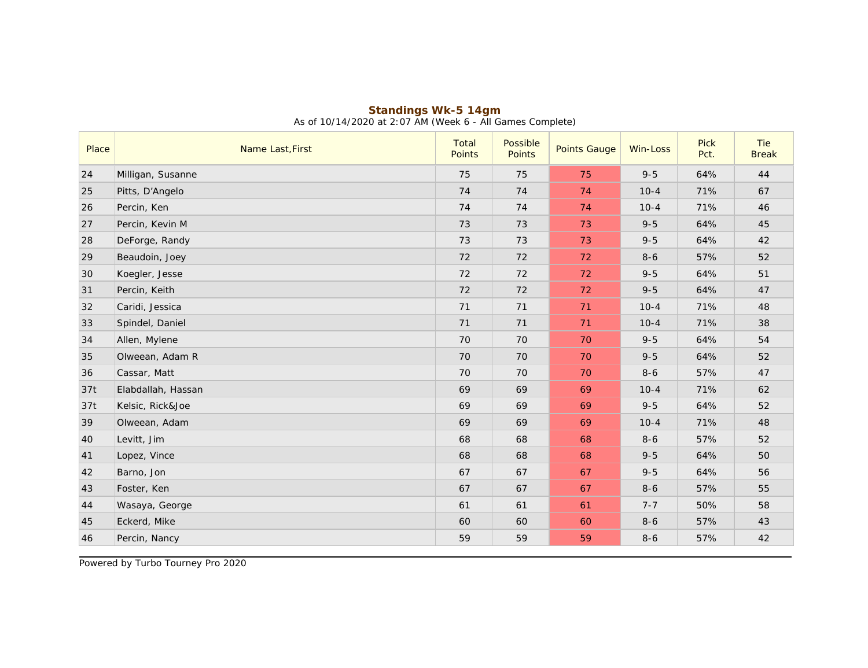| Place | Name Last, First   | Total<br>Points | Possible<br>Points | <b>Points Gauge</b> | Win-Loss | <b>Pick</b><br>Pct. | Tie<br><b>Break</b> |
|-------|--------------------|-----------------|--------------------|---------------------|----------|---------------------|---------------------|
| 24    | Milligan, Susanne  | 75              | 75                 | 75                  | $9 - 5$  | 64%                 | 44                  |
| 25    | Pitts, D'Angelo    | 74              | 74                 | 74                  | $10 - 4$ | 71%                 | 67                  |
| 26    | Percin, Ken        | 74              | 74                 | 74                  | $10 - 4$ | 71%                 | 46                  |
| 27    | Percin, Kevin M    | 73              | 73                 | 73                  | $9 - 5$  | 64%                 | 45                  |
| 28    | DeForge, Randy     | 73              | 73                 | 73                  | $9 - 5$  | 64%                 | 42                  |
| 29    | Beaudoin, Joey     | 72              | 72                 | 72                  | $8 - 6$  | 57%                 | 52                  |
| 30    | Koegler, Jesse     | 72              | 72                 | 72                  | $9 - 5$  | 64%                 | 51                  |
| 31    | Percin, Keith      | 72              | 72                 | 72                  | $9 - 5$  | 64%                 | 47                  |
| 32    | Caridi, Jessica    | 71              | 71                 | 71                  | $10 - 4$ | 71%                 | 48                  |
| 33    | Spindel, Daniel    | 71              | 71                 | 71                  | $10 - 4$ | 71%                 | 38                  |
| 34    | Allen, Mylene      | 70              | 70                 | 70                  | $9 - 5$  | 64%                 | 54                  |
| 35    | Olweean, Adam R    | 70              | 70                 | 70                  | $9 - 5$  | 64%                 | 52                  |
| 36    | Cassar, Matt       | 70              | 70                 | 70                  | $8 - 6$  | 57%                 | 47                  |
| 37t   | Elabdallah, Hassan | 69              | 69                 | 69                  | $10 - 4$ | 71%                 | 62                  |
| 37t   | Kelsic, Rick&Joe   | 69              | 69                 | 69                  | $9 - 5$  | 64%                 | 52                  |
| 39    | Olweean, Adam      | 69              | 69                 | 69                  | $10 - 4$ | 71%                 | 48                  |
| 40    | Levitt, Jim        | 68              | 68                 | 68                  | $8 - 6$  | 57%                 | 52                  |
| 41    | Lopez, Vince       | 68              | 68                 | 68                  | $9 - 5$  | 64%                 | 50                  |
| 42    | Barno, Jon         | 67              | 67                 | 67                  | $9 - 5$  | 64%                 | 56                  |
| 43    | Foster, Ken        | 67              | 67                 | 67                  | $8 - 6$  | 57%                 | 55                  |
| 44    | Wasaya, George     | 61              | 61                 | 61                  | $7 - 7$  | 50%                 | 58                  |
| 45    | Eckerd, Mike       | 60              | 60                 | 60                  | $8 - 6$  | 57%                 | 43                  |
| 46    | Percin, Nancy      | 59              | 59                 | 59                  | $8 - 6$  | 57%                 | 42                  |

## **Standings Wk-5 14gm** As of 10/14/2020 at 2:07 AM (Week 6 - All Games Complete)

Powered by Turbo Tourney Pro 2020